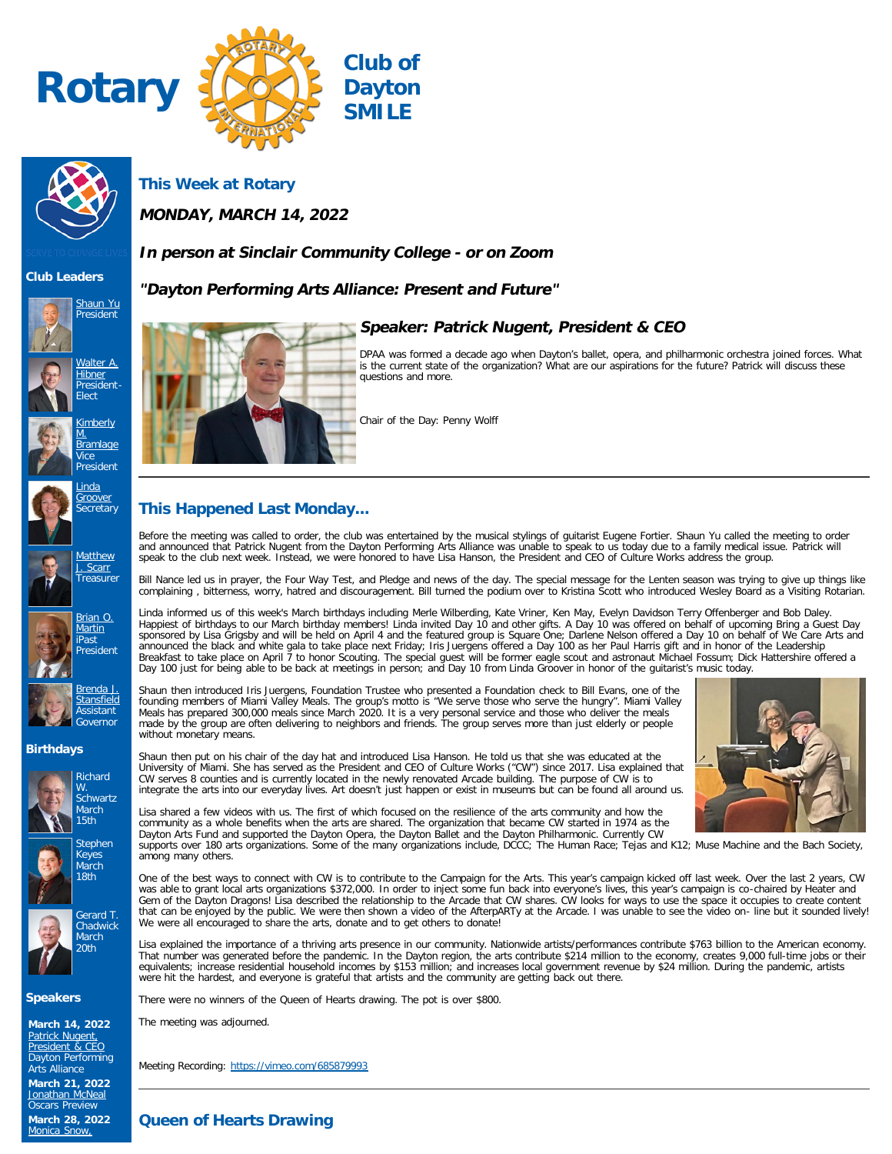



**This Week at Rotary**

**MONDAY, MARCH 14, 2022**

# **In person at Sinclair Community College - or on Zoom**

# **"Dayton Performing Arts Alliance: Present and Future"**



**Club Leaders**





















**Birthdays**







**Speakers**

**March 14, 2022**<br><u>[Patrick Nugent,](https://ismyrotaryclub.com/wp_api_prod_1-1/R_Event.cfm?fixTables=0&fixImages=0&EventID=77579964)</u><br><u>[President & CEO](https://ismyrotaryclub.com/wp_api_prod_1-1/R_Event.cfm?fixTables=0&fixImages=0&EventID=77579964)</u> Dayton Performing Arts Alliance **March 21, 2022** [Jonathan McNeal](https://ismyrotaryclub.com/wp_api_prod_1-1/R_Event.cfm?fixTables=0&fixImages=0&EventID=77572504) Oscars Preview **March 28, 2022** [Monica Snow,](https://ismyrotaryclub.com/wp_api_prod_1-1/R_Event.cfm?fixTables=0&fixImages=0&EventID=77579965)



# **Speaker: Patrick Nugent, President & CEO**

DPAA was formed a decade ago when Dayton's ballet, opera, and philharmonic orchestra joined forces. What is the current state of the organization? What are our aspirations for the future? Patrick will discuss these questions and more.

Chair of the Day: Penny Wolff

# **This Happened Last Monday...**

Before the meeting was called to order, the club was entertained by the musical stylings of guitarist Eugene Fortier. Shaun Yu called the meeting to order and announced that Patrick Nugent from the Dayton Performing Arts Alliance was unable to speak to us today due to a family medical issue. Patrick will<br>speak to the club next week. Instead, we were honored to have Lisa Hans

Bill Nance led us in prayer, the Four Way Test, and Pledge and news of the day. The special message for the Lenten season was trying to give up things like complaining , bitterness, worry, hatred and discouragement. Bill turned the podium over to Kristina Scott who introduced Wesley Board as a Visiting Rotarian.

Linda informed us of this week's March birthdays including Merle Wilberding, Kate Vriner, Ken May, Evelyn Davidson Terry Offenberger and Bob Daley. Happiest of birthdays to our March birthday members! Linda invited Day 10 and other gifts. A Day 10 was offered on behalf of upcoming Bring a Guest Day<br>sponsored by Lisa Grigsby and will be held on April 4 and the featured announced the black and white gala to take place next Friday; Iris Juergens offered a Day 100 as her Paul Harris gift and in honor of the Leadership<br>Breakfast to take place on April 7 to honor Scouting. The special guest w Day 100 just for being able to be back at meetings in person; and Day 10 from Linda Groover in honor of the guitarist's music today.

Shaun then introduced Iris Juergens, Foundation Trustee who presented a Foundation check to Bill Evans, one of the<br>founding members of Miami Valley Meals. The group's motto is "We serve those who serve the hungry". Miami V made by the group are often delivering to neighbors and friends. The group serves more than just elderly or people without monetary means.



Shaun then put on his chair of the day hat and introduced Lisa Hanson. He told us that she was educated at the University of Miami. She has served as the President and CEO of Culture Works ("CW") since 2017. Lisa explained that CW serves 8 counties and is currently located in the newly renovated Arcade building. The purpose of CW is to integrate the arts into our everyday lives. Art doesn't just happen or exist in museums but can be found all around us.

Lisa shared a few videos with us. The first of which focused on the resilience of the arts community and how the community as a whole benefits when the arts are shared. The organization that became CW started in 1974 as the Dayton Arts Fund and supported the Dayton Opera, the Dayton Ballet and the Dayton Philharmonic. Currently CW supports over 180 arts organizations. Some of the many organizations include, DCCC; The Human Race; Tejas and K12; Muse Machine and the Bach Society, among many others.

One of the best ways to connect with CW is to contribute to the Campaign for the Arts. This year's campaign kicked off last week. Over the last 2 years, CW was able to grant local arts organizations \$372,000. In order to inject some fun back into everyone's lives, this year's campaign is co-chaired by Heater and Gem of the Dayton Dragons! Lisa described the relationship to the Arcade that CW shares. CW looks for ways to use the space it occupies to create content that can be enjoyed by the public. We were then shown a video of the AfterpARTy at the Arcade. I was unable to see the video on- line but it sounded lively! We were all encouraged to share the arts, donate and to get others to donate!

Lisa explained the importance of a thriving arts presence in our community. Nationwide artists/performances contribute \$763 billion to the American economy. That number was generated before the pandemic. In the Dayton region, the arts contribute \$214 million to the economy, creates 9,000 full-time jobs or their<br>equivalents; increase residential household incomes by \$153 millio were hit the hardest, and everyone is grateful that artists and the community are getting back out there.

There were no winners of the Queen of Hearts drawing. The pot is over \$800.

The meeting was adjourned.

Meeting Recording:<https://vimeo.com/685879993>

**Queen of Hearts Drawing**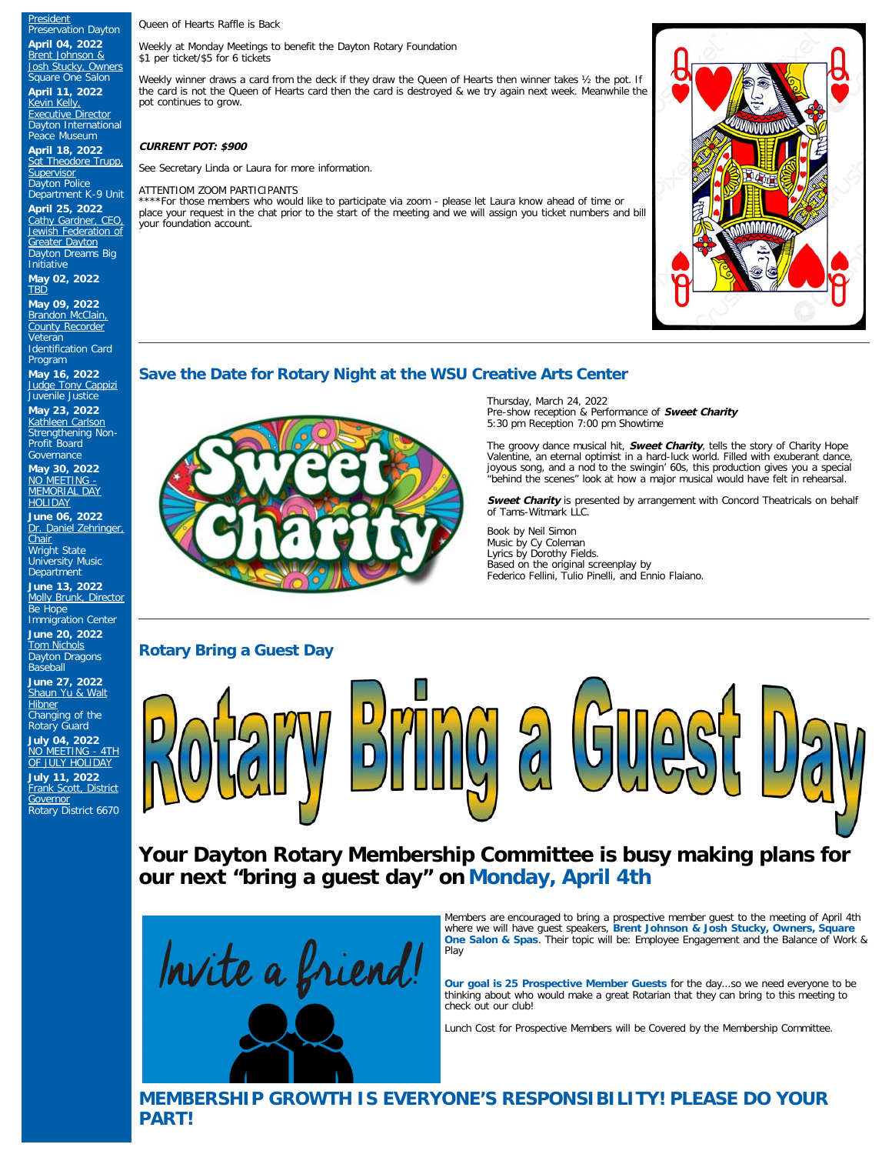Queen of Hearts Raffle is Back

Weekly at Monday Meetings to benefit the Dayton Rotary Foundation \$1 per ticket/\$5 for 6 tickets

Weekly winner draws a card from the deck if they draw the Queen of Hearts then winner takes ½ the pot. If the card is not the Queen of Hearts card then the card is destroyed & we try again next week. Meanwhile the pot continues to grow.

### **CURRENT POT: \$900**

See Secretary Linda or Laura for more information.

#### Department K-9 Unit ATTENTIOM ZOOM PARTICIPANTS

\*For those members who would like to participate via zoom - please let Laura know ahead of time or place your request in the chat prior to the start of the meeting and we will assign you ticket numbers and bill your foundation account.

## **Save the Date for Rotary Night at the WSU Creative Arts Center**

**May 16, 2022 [Judge Tony Cappizi](https://ismyrotaryclub.com/wp_api_prod_1-1/R_Event.cfm?fixTables=0&fixImages=0&EventID=77579976)** Juvenile Justice **May 23, 2022** [Kathleen Carlson](https://ismyrotaryclub.com/wp_api_prod_1-1/R_Event.cfm?fixTables=0&fixImages=0&EventID=77579977) Strengthening Non-Profit Board

**April 25, 2022** [Cathy Gardner, CEO,](https://ismyrotaryclub.com/wp_api_prod_1-1/R_Event.cfm?fixTables=0&fixImages=0&EventID=77579971) [Jewish Federation of](https://ismyrotaryclub.com/wp_api_prod_1-1/R_Event.cfm?fixTables=0&fixImages=0&EventID=77579971) [Greater Dayton](https://ismyrotaryclub.com/wp_api_prod_1-1/R_Event.cfm?fixTables=0&fixImages=0&EventID=77579971) Dayton Dreams Big **Initiative May 02, 2022 TRD** 

**May 09, 2022** [Brandon McClain,](https://ismyrotaryclub.com/wp_api_prod_1-1/R_Event.cfm?fixTables=0&fixImages=0&EventID=77579974) [County Recorder](https://ismyrotaryclub.com/wp_api_prod_1-1/R_Event.cfm?fixTables=0&fixImages=0&EventID=77579974) Veteran Identification Card Program

**[President](https://ismyrotaryclub.com/wp_api_prod_1-1/R_Event.cfm?fixTables=0&fixImages=0&EventID=77579965)** Preservation Dayton **April 04, 2022** <u>[Brent Johnson &](https://ismyrotaryclub.com/wp_api_prod_1-1/R_Event.cfm?fixTables=0&fixImages=0&EventID=77579966)</u><br><u>[Josh Stucky, Owners](https://ismyrotaryclub.com/wp_api_prod_1-1/R_Event.cfm?fixTables=0&fixImages=0&EventID=77579966)</u><br>Square One Salon **April 11, 2022** [Kevin Kelly,](https://ismyrotaryclub.com/wp_api_prod_1-1/R_Event.cfm?fixTables=0&fixImages=0&EventID=77575888) **[Executive Director](https://ismyrotaryclub.com/wp_api_prod_1-1/R_Event.cfm?fixTables=0&fixImages=0&EventID=77575888)** Dayton International Peace Museum **April 18, 2022** [Sgt Theodore Trupp,](https://ismyrotaryclub.com/wp_api_prod_1-1/R_Event.cfm?fixTables=0&fixImages=0&EventID=77579969) [Supervisor](https://ismyrotaryclub.com/wp_api_prod_1-1/R_Event.cfm?fixTables=0&fixImages=0&EventID=77579969) Dayton Police

**Governance May 30, 2022**<br><u>[NO MEETING -](https://ismyrotaryclub.com/wp_api_prod_1-1/R_Event.cfm?fixTables=0&fixImages=0&EventID=77579978)</u><br><u>[MEMORIAL DAY](https://ismyrotaryclub.com/wp_api_prod_1-1/R_Event.cfm?fixTables=0&fixImages=0&EventID=77579978)</u>

**[HOLIDAY](https://ismyrotaryclub.com/wp_api_prod_1-1/R_Event.cfm?fixTables=0&fixImages=0&EventID=77579978) June 06, 2022** [Dr. Daniel Zehringer,](https://ismyrotaryclub.com/wp_api_prod_1-1/R_Event.cfm?fixTables=0&fixImages=0&EventID=77579979)

<u>[Chair](https://ismyrotaryclub.com/wp_api_prod_1-1/R_Event.cfm?fixTables=0&fixImages=0&EventID=77579979)</u><br>Wright State University Music **Department** 

**June 13, 2022** [Molly Brunk, Director](https://ismyrotaryclub.com/wp_api_prod_1-1/R_Event.cfm?fixTables=0&fixImages=0&EventID=77579980) Be Hope

Immigration Center **June 20, 2022** [Tom Nichols](https://ismyrotaryclub.com/wp_api_prod_1-1/R_Event.cfm?fixTables=0&fixImages=0&EventID=77579981) Dayton Dragons Baseball

**June 27, 2022** [Shaun Yu & Walt](https://ismyrotaryclub.com/wp_api_prod_1-1/R_Event.cfm?fixTables=0&fixImages=0&EventID=77579982) **[Hibner](https://ismyrotaryclub.com/wp_api_prod_1-1/R_Event.cfm?fixTables=0&fixImages=0&EventID=77579982)** 

Changing of the Rotary Guard

**July 04, 2022** [NO MEETING - 4TH](https://ismyrotaryclub.com/wp_api_prod_1-1/R_Event.cfm?fixTables=0&fixImages=0&EventID=77580025) [OF JULY HOLIDAY](https://ismyrotaryclub.com/wp_api_prod_1-1/R_Event.cfm?fixTables=0&fixImages=0&EventID=77580025)

**July 11, 2022** [Frank Scott, District](https://ismyrotaryclub.com/wp_api_prod_1-1/R_Event.cfm?fixTables=0&fixImages=0&EventID=77580026) **[Governor](https://ismyrotaryclub.com/wp_api_prod_1-1/R_Event.cfm?fixTables=0&fixImages=0&EventID=77580026)** Rotary District 6670



Thursday, March 24, 2022 Pre-show reception & Performance of **Sweet Charity** 5:30 pm Reception 7:00 pm Showtime

The groovy dance musical hit, **Sweet Charity**, tells the story of Charity Hope Valentine, an eternal optimist in a hard-luck world. Filled with exuberant dance, joyous song, and a nod to the swingin' 60s, this production gives you a special "behind the scenes" look at how a major musical would have felt in rehearsal.

**Sweet Charity** is presented by arrangement with Concord Theatricals on behalf of Tams-Witmark LLC.

Book by Neil Simon Music by Cy Coleman Lyrics by Dorothy Fields. Based on the original screenplay by Federico Fellini, Tulio Pinelli, and Ennio Flaiano.

### **Rotary Bring a Guest Day**

 $\frac{1}{2}$ 

**Your Dayton Rotary Membership Committee is busy making plans for our next "bring a guest day" on Monday, April 4th**



Members are encouraged to bring a prospective member guest to the meeting of April 4th where we will have guest speakers, **Brent Johnson & Josh Stucky, Owners, Square One Salon & Spas**. Their topic will be: Employee Engagement and the Balance of Work & Play

**Our goal is 25 Prospective Member Guests** for the day...so we need everyone to be thinking about who would make a great Rotarian that they can bring to this meeting to check out our club!

Lunch Cost for Prospective Members will be Covered by the Membership Committee.

**MEMBERSHIP GROWTH IS EVERYONE'S RESPONSIBILITY! PLEASE DO YOUR PART!**